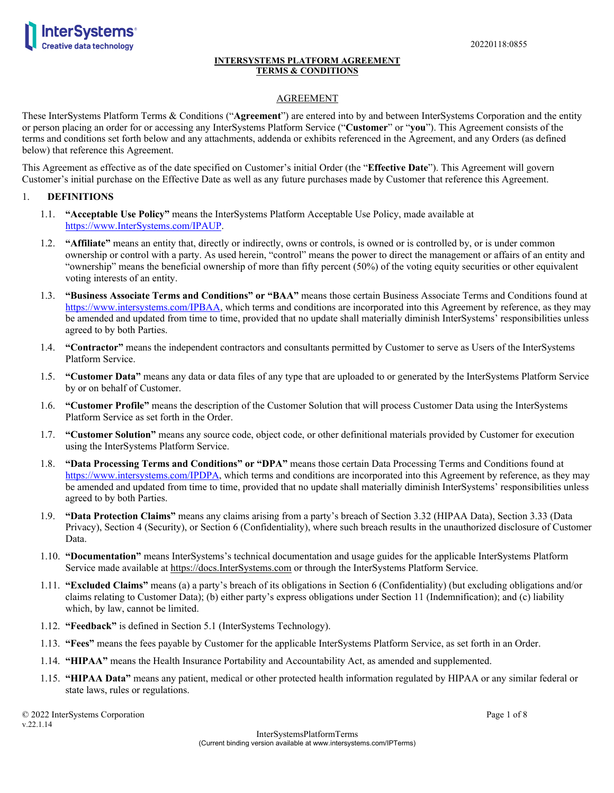

# AGREEMENT

These InterSystems Platform Terms & Conditions ("**Agreement**") are entered into by and between InterSystems Corporation and the entity or person placing an order for or accessing any InterSystems Platform Service ("**Customer**" or "**you**"). This Agreement consists of the terms and conditions set forth below and any attachments, addenda or exhibits referenced in the Agreement, and any Orders (as defined below) that reference this Agreement.

This Agreement as effective as of the date specified on Customer's initial Order (the "**Effective Date**"). This Agreement will govern Customer's initial purchase on the Effective Date as well as any future purchases made by Customer that reference this Agreement.

### 1. **DEFINITIONS**

- 1.1. **"Acceptable Use Policy"** means the InterSystems Platform Acceptable Use Policy, made available at [https://www.InterSystems.com/IPAUP.](https://www.intersystems.com/IPAUP)
- 1.2. **"Affiliate"** means an entity that, directly or indirectly, owns or controls, is owned or is controlled by, or is under common ownership or control with a party. As used herein, "control" means the power to direct the management or affairs of an entity and "ownership" means the beneficial ownership of more than fifty percent (50%) of the voting equity securities or other equivalent voting interests of an entity.
- 1.3. **"Business Associate Terms and Conditions" or "BAA"** means those certain Business Associate Terms and Conditions found at [https://www.intersystems.com/IPBAA,](https://www.intersystems.com/IPBAA) which terms and conditions are incorporated into this Agreement by reference, as they may be amended and updated from time to time, provided that no update shall materially diminish InterSystems' responsibilities unless agreed to by both Parties.
- 1.4. **"Contractor"** means the independent contractors and consultants permitted by Customer to serve as Users of the InterSystems Platform Service.
- 1.5. **"Customer Data"** means any data or data files of any type that are uploaded to or generated by the InterSystems Platform Service by or on behalf of Customer.
- 1.6. **"Customer Profile"** means the description of the Customer Solution that will process Customer Data using the InterSystems Platform Service as set forth in the Order.
- 1.7. **"Customer Solution"** means any source code, object code, or other definitional materials provided by Customer for execution using the InterSystems Platform Service.
- 1.8. **"Data Processing Terms and Conditions" or "DPA"** means those certain Data Processing Terms and Conditions found at [https://www.intersystems.com/IPDPA,](https://www.intersystems.com/IPDPA) which terms and conditions are incorporated into this Agreement by reference, as they may be amended and updated from time to time, provided that no update shall materially diminish InterSystems' responsibilities unless agreed to by both Parties.
- 1.9. **"Data Protection Claims"** means any claims arising from a party's breach of Section 3.32 (HIPAA Data), Section 3.33 (Data Privacy), Section 4 (Security), or Section 6 (Confidentiality), where such breach results in the unauthorized disclosure of Customer Data.
- 1.10. **"Documentation"** means InterSystems's technical documentation and usage guides for the applicable InterSystems Platform Service made available at https://docs.InterSystems.com or through the InterSystems Platform Service.
- 1.11. **"Excluded Claims"** means (a) a party's breach of its obligations in Section 6 (Confidentiality) (but excluding obligations and/or claims relating to Customer Data); (b) either party's express obligations under Section 11 (Indemnification); and (c) liability which, by law, cannot be limited.
- 1.12. **"Feedback"** is defined in Section 5.1 (InterSystems Technology).
- 1.13. **"Fees"** means the fees payable by Customer for the applicable InterSystems Platform Service, as set forth in an Order.
- 1.14. **"HIPAA"** means the Health Insurance Portability and Accountability Act, as amended and supplemented.
- 1.15. **"HIPAA Data"** means any patient, medical or other protected health information regulated by HIPAA or any similar federal or state laws, rules or regulations.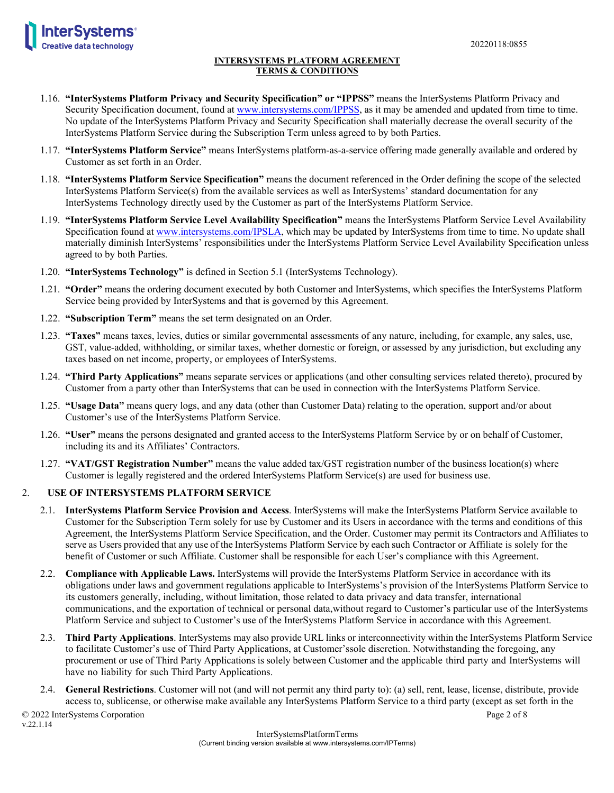

- 1.16. **"InterSystems Platform Privacy and Security Specification" or "IPPSS"** means the InterSystems Platform Privacy and Security Specification document, found at [www.intersystems.com/IPPSS,](http://www.intersystems.com/IPPSS) as it may be amended and updated from time to time. No update of the InterSystems Platform Privacy and Security Specification shall materially decrease the overall security of the InterSystems Platform Service during the Subscription Term unless agreed to by both Parties.
- 1.17. **"InterSystems Platform Service"** means InterSystems platform-as-a-service offering made generally available and ordered by Customer as set forth in an Order.
- 1.18. **"InterSystems Platform Service Specification"** means the document referenced in the Order defining the scope of the selected InterSystems Platform Service(s) from the available services as well as InterSystems' standard documentation for any InterSystems Technology directly used by the Customer as part of the InterSystems Platform Service.
- 1.19. **"InterSystems Platform Service Level Availability Specification"** means the InterSystems Platform Service Level Availability Specification found at [www.intersystems.com/IPSLA,](http://www.intersystems.com/IPSLA) which may be updated by InterSystems from time to time. No update shall materially diminish InterSystems' responsibilities under the InterSystems Platform Service Level Availability Specification unless agreed to by both Parties.
- 1.20. **"InterSystems Technology"** is defined in Section 5.1 (InterSystems Technology).
- 1.21. **"Order"** means the ordering document executed by both Customer and InterSystems, which specifies the InterSystems Platform Service being provided by InterSystems and that is governed by this Agreement.
- 1.22. **"Subscription Term"** means the set term designated on an Order.
- 1.23. **"Taxes"** means taxes, levies, duties or similar governmental assessments of any nature, including, for example, any sales, use, GST, value-added, withholding, or similar taxes, whether domestic or foreign, or assessed by any jurisdiction, but excluding any taxes based on net income, property, or employees of InterSystems.
- 1.24. **"Third Party Applications"** means separate services or applications (and other consulting services related thereto), procured by Customer from a party other than InterSystems that can be used in connection with the InterSystems Platform Service.
- 1.25. **"Usage Data"** means query logs, and any data (other than Customer Data) relating to the operation, support and/or about Customer's use of the InterSystems Platform Service.
- 1.26. **"User"** means the persons designated and granted access to the InterSystems Platform Service by or on behalf of Customer, including its and its Affiliates' Contractors.
- 1.27. **"VAT/GST Registration Number"** means the value added tax/GST registration number of the business location(s) where Customer is legally registered and the ordered InterSystems Platform Service(s) are used for business use.

## 2. **USE OF INTERSYSTEMS PLATFORM SERVICE**

- 2.1. **InterSystems Platform Service Provision and Access**. InterSystems will make the InterSystems Platform Service available to Customer for the Subscription Term solely for use by Customer and its Users in accordance with the terms and conditions of this Agreement, the InterSystems Platform Service Specification, and the Order. Customer may permit its Contractors and Affiliates to serve as Users provided that any use of the InterSystems Platform Service by each such Contractor or Affiliate is solely for the benefit of Customer or such Affiliate. Customer shall be responsible for each User's compliance with this Agreement.
- 2.2. **Compliance with Applicable Laws.** InterSystems will provide the InterSystems Platform Service in accordance with its obligations under laws and government regulations applicable to InterSystems's provision of the InterSystems Platform Service to its customers generally, including, without limitation, those related to data privacy and data transfer, international communications, and the exportation of technical or personal data,without regard to Customer's particular use of the InterSystems Platform Service and subject to Customer's use of the InterSystems Platform Service in accordance with this Agreement.
- 2.3. **Third Party Applications**. InterSystems may also provide URL links or interconnectivity within the InterSystems Platform Service to facilitate Customer's use of Third Party Applications, at Customer'ssole discretion. Notwithstanding the foregoing, any procurement or use of Third Party Applications is solely between Customer and the applicable third party and InterSystems will have no liability for such Third Party Applications.
- 2.4. **General Restrictions**. Customer will not (and will not permit any third party to): (a) sell, rent, lease, license, distribute, provide access to, sublicense, or otherwise make available any InterSystems Platform Service to a third party (except as set forth in the

© 2022 InterSystems Corporation Page 2 of 8 v.22.1.14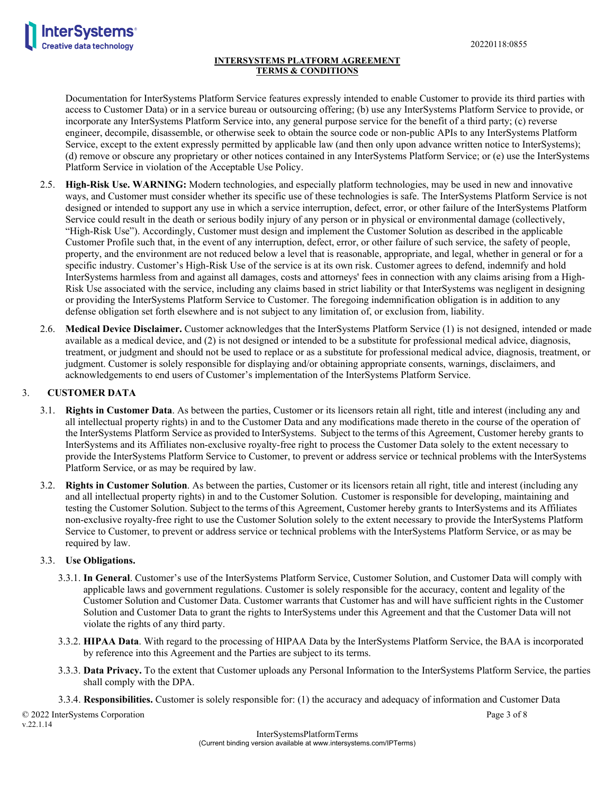

Documentation for InterSystems Platform Service features expressly intended to enable Customer to provide its third parties with access to Customer Data) or in a service bureau or outsourcing offering; (b) use any InterSystems Platform Service to provide, or incorporate any InterSystems Platform Service into, any general purpose service for the benefit of a third party; (c) reverse engineer, decompile, disassemble, or otherwise seek to obtain the source code or non-public APIs to any InterSystems Platform Service, except to the extent expressly permitted by applicable law (and then only upon advance written notice to InterSystems); (d) remove or obscure any proprietary or other notices contained in any InterSystems Platform Service; or (e) use the InterSystems Platform Service in violation of the Acceptable Use Policy.

- 2.5. **High-Risk Use. WARNING:** Modern technologies, and especially platform technologies, may be used in new and innovative ways, and Customer must consider whether its specific use of these technologies is safe. The InterSystems Platform Service is not designed or intended to support any use in which a service interruption, defect, error, or other failure of the InterSystems Platform Service could result in the death or serious bodily injury of any person or in physical or environmental damage (collectively, "High-Risk Use"). Accordingly, Customer must design and implement the Customer Solution as described in the applicable Customer Profile such that, in the event of any interruption, defect, error, or other failure of such service, the safety of people, property, and the environment are not reduced below a level that is reasonable, appropriate, and legal, whether in general or for a specific industry. Customer's High-Risk Use of the service is at its own risk. Customer agrees to defend, indemnify and hold InterSystems harmless from and against all damages, costs and attorneys' fees in connection with any claims arising from a High-Risk Use associated with the service, including any claims based in strict liability or that InterSystems was negligent in designing or providing the InterSystems Platform Service to Customer. The foregoing indemnification obligation is in addition to any defense obligation set forth elsewhere and is not subject to any limitation of, or exclusion from, liability.
- 2.6. **Medical Device Disclaimer.** Customer acknowledges that the InterSystems Platform Service (1) is not designed, intended or made available as a medical device, and (2) is not designed or intended to be a substitute for professional medical advice, diagnosis, treatment, or judgment and should not be used to replace or as a substitute for professional medical advice, diagnosis, treatment, or judgment. Customer is solely responsible for displaying and/or obtaining appropriate consents, warnings, disclaimers, and acknowledgements to end users of Customer's implementation of the InterSystems Platform Service.

# 3. **CUSTOMER DATA**

- 3.1. **Rights in Customer Data**. As between the parties, Customer or its licensors retain all right, title and interest (including any and all intellectual property rights) in and to the Customer Data and any modifications made thereto in the course of the operation of the InterSystems Platform Service as provided to InterSystems. Subject to the terms of this Agreement, Customer hereby grants to InterSystems and its Affiliates non-exclusive royalty-free right to process the Customer Data solely to the extent necessary to provide the InterSystems Platform Service to Customer, to prevent or address service or technical problems with the InterSystems Platform Service, or as may be required by law.
- 3.2. **Rights in Customer Solution**. As between the parties, Customer or its licensors retain all right, title and interest (including any and all intellectual property rights) in and to the Customer Solution. Customer is responsible for developing, maintaining and testing the Customer Solution. Subject to the terms of this Agreement, Customer hereby grants to InterSystems and its Affiliates non-exclusive royalty-free right to use the Customer Solution solely to the extent necessary to provide the InterSystems Platform Service to Customer, to prevent or address service or technical problems with the InterSystems Platform Service, or as may be required by law.

### 3.3. **Use Obligations.**

- 3.3.1. **In General**. Customer's use of the InterSystems Platform Service, Customer Solution, and Customer Data will comply with applicable laws and government regulations. Customer is solely responsible for the accuracy, content and legality of the Customer Solution and Customer Data. Customer warrants that Customer has and will have sufficient rights in the Customer Solution and Customer Data to grant the rights to InterSystems under this Agreement and that the Customer Data will not violate the rights of any third party.
- 3.3.2. **HIPAA Data**. With regard to the processing of HIPAA Data by the InterSystems Platform Service, the BAA is incorporated by reference into this Agreement and the Parties are subject to its terms.
- 3.3.3. **Data Privacy.** To the extent that Customer uploads any Personal Information to the InterSystems Platform Service, the parties shall comply with the DPA.

3.3.4. **Responsibilities.** Customer is solely responsible for: (1) the accuracy and adequacy of information and Customer Data

© 2022 InterSystems Corporation Page 3 of 8 v.22.1.14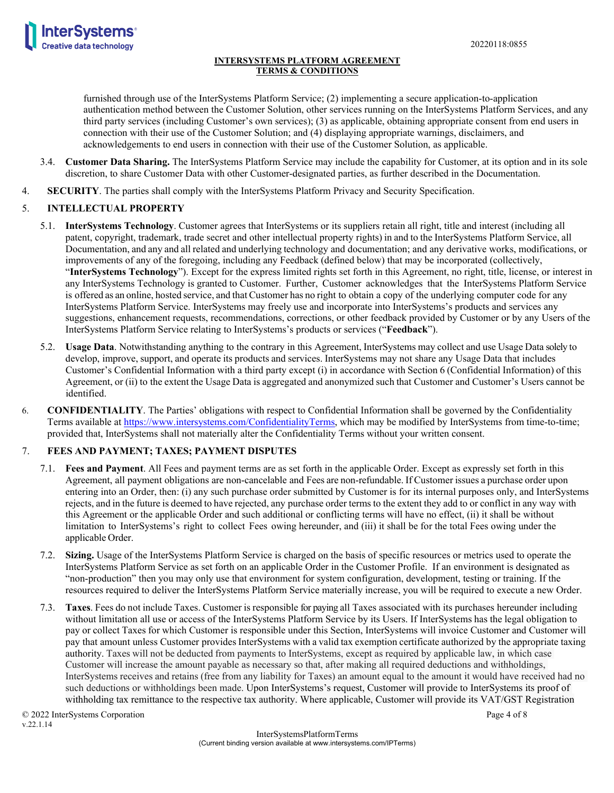



furnished through use of the InterSystems Platform Service; (2) implementing a secure application-to-application authentication method between the Customer Solution, other services running on the InterSystems Platform Services, and any third party services (including Customer's own services); (3) as applicable, obtaining appropriate consent from end users in connection with their use of the Customer Solution; and (4) displaying appropriate warnings, disclaimers, and acknowledgements to end users in connection with their use of the Customer Solution, as applicable.

- 3.4. **Customer Data Sharing.** The InterSystems Platform Service may include the capability for Customer, at its option and in its sole discretion, to share Customer Data with other Customer-designated parties, as further described in the Documentation.
- 4. **SECURITY**. The parties shall comply with the InterSystems Platform Privacy and Security Specification.

# 5. **INTELLECTUAL PROPERTY**

- 5.1. **InterSystems Technology**. Customer agrees that InterSystems or its suppliers retain all right, title and interest (including all patent, copyright, trademark, trade secret and other intellectual property rights) in and to the InterSystems Platform Service, all Documentation, and any and all related and underlying technology and documentation; and any derivative works, modifications, or improvements of any of the foregoing, including any Feedback (defined below) that may be incorporated (collectively, "**InterSystems Technology**"). Except for the express limited rights set forth in this Agreement, no right, title, license, or interest in any InterSystems Technology is granted to Customer. Further, Customer acknowledges that the InterSystems Platform Service is offered as an online, hosted service, and that Customer has no right to obtain a copy of the underlying computer code for any InterSystems Platform Service. InterSystems may freely use and incorporate into InterSystems's products and services any suggestions, enhancement requests, recommendations, corrections, or other feedback provided by Customer or by any Users of the InterSystems Platform Service relating to InterSystems's products or services ("**Feedback**").
- 5.2. **Usage Data**. Notwithstanding anything to the contrary in this Agreement, InterSystems may collect and use Usage Data solely to develop, improve, support, and operate its products and services. InterSystems may not share any Usage Data that includes Customer's Confidential Information with a third party except (i) in accordance with Section 6 (Confidential Information) of this Agreement, or (ii) to the extent the Usage Data is aggregated and anonymized such that Customer and Customer's Users cannot be identified.
- 6. **CONFIDENTIALITY**. The Parties' obligations with respect to Confidential Information shall be governed by the Confidentiality Terms available a[t https://www.intersystems.com/ConfidentialityTerms,](https://www.intersystems.com/ConfidentialityTerms) which may be modified by InterSystems from time-to-time; provided that, InterSystems shall not materially alter the Confidentiality Terms without your written consent.

# 7. **FEES AND PAYMENT; TAXES; PAYMENT DISPUTES**

- 7.1. **Fees and Payment**. All Fees and payment terms are as set forth in the applicable Order. Except as expressly set forth in this Agreement, all payment obligations are non-cancelable and Fees are non-refundable. If Customer issues a purchase order upon entering into an Order, then: (i) any such purchase order submitted by Customer is for its internal purposes only, and InterSystems rejects, and in the future is deemed to have rejected, any purchase order terms to the extent they add to or conflict in any way with this Agreement or the applicable Order and such additional or conflicting terms will have no effect, (ii) it shall be without limitation to InterSystems's right to collect Fees owing hereunder, and (iii) it shall be for the total Fees owing under the applicable Order.
- 7.2. **Sizing.** Usage of the InterSystems Platform Service is charged on the basis of specific resources or metrics used to operate the InterSystems Platform Service as set forth on an applicable Order in the Customer Profile. If an environment is designated as "non-production" then you may only use that environment for system configuration, development, testing or training. If the resources required to deliver the InterSystems Platform Service materially increase, you will be required to execute a new Order.
- 7.3. **Taxes**. Fees do not include Taxes. Customer is responsible for paying all Taxes associated with its purchases hereunder including without limitation all use or access of the InterSystems Platform Service by its Users. If InterSystems has the legal obligation to pay or collect Taxes for which Customer is responsible under this Section, InterSystems will invoice Customer and Customer will pay that amount unless Customer providesInterSystems with a valid tax exemption certificate authorized by the appropriate taxing authority. Taxes will not be deducted from payments to InterSystems, except as required by applicable law, in which case Customer will increase the amount payable as necessary so that, after making all required deductions and withholdings, InterSystems receives and retains (free from any liability for Taxes) an amount equal to the amount it would have received had no such deductions or withholdings been made. Upon InterSystems's request, Customer will provide to InterSystems its proof of withholding tax remittance to the respective tax authority. Where applicable, Customer will provide its VAT/GST Registration

© 2022 InterSystems Corporation Page 4 of 8 v.22.1.14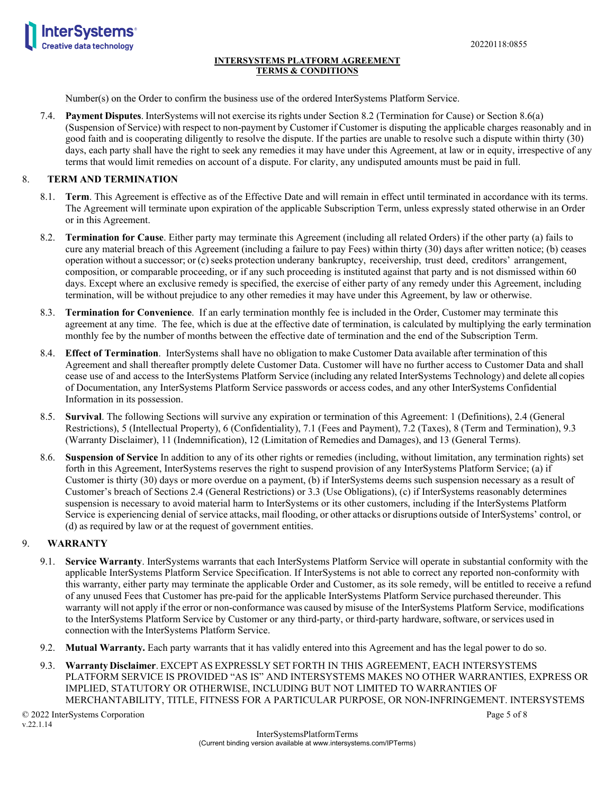



Number(s) on the Order to confirm the business use of the ordered InterSystems Platform Service.

7.4. **Payment Disputes**. InterSystems will not exercise its rights under Section 8.2 (Termination for Cause) or Section 8.6(a) (Suspension of Service) with respect to non-payment by Customer if Customer is disputing the applicable charges reasonably and in good faith and is cooperating diligently to resolve the dispute. If the parties are unable to resolve such a dispute within thirty (30) days, each party shall have the right to seek any remedies it may have under this Agreement, at law or in equity, irrespective of any terms that would limit remedies on account of a dispute. For clarity, any undisputed amounts must be paid in full.

# 8. **TERM AND TERMINATION**

- 8.1. **Term**. This Agreement is effective as of the Effective Date and will remain in effect until terminated in accordance with its terms. The Agreement will terminate upon expiration of the applicable Subscription Term, unless expressly stated otherwise in an Order or in this Agreement.
- 8.2. **Termination for Cause**. Either party may terminate this Agreement (including all related Orders) if the other party (a) fails to cure any material breach of this Agreement (including a failure to pay Fees) within thirty (30) days after written notice; (b) ceases operation without a successor; or (c) seeks protection underany bankruptcy, receivership, trust deed, creditors' arrangement, composition, or comparable proceeding, or if any such proceeding is instituted against that party and is not dismissed within 60 days. Except where an exclusive remedy is specified, the exercise of either party of any remedy under this Agreement, including termination, will be without prejudice to any other remedies it may have under this Agreement, by law or otherwise.
- 8.3. **Termination for Convenience**. If an early termination monthly fee is included in the Order, Customer may terminate this agreement at any time. The fee, which is due at the effective date of termination, is calculated by multiplying the early termination monthly fee by the number of months between the effective date of termination and the end of the Subscription Term.
- 8.4. **Effect of Termination**. InterSystems shall have no obligation to make Customer Data available after termination of this Agreement and shall thereafter promptly delete Customer Data. Customer will have no further access to Customer Data and shall cease use of and access to the InterSystems Platform Service (including any related InterSystems Technology) and delete all copies of Documentation, any InterSystems Platform Service passwords or access codes, and any other InterSystems Confidential Information in its possession.
- 8.5. **Survival**. The following Sections will survive any expiration or termination of this Agreement: 1 (Definitions), 2.4 (General Restrictions), 5 (Intellectual Property), 6 (Confidentiality), 7.1 (Fees and Payment), 7.2 (Taxes), 8 (Term and Termination), 9.3 (Warranty Disclaimer), 11 (Indemnification), 12 (Limitation of Remedies and Damages), and 13 (General Terms).
- 8.6. **Suspension of Service** In addition to any of its other rights or remedies (including, without limitation, any termination rights) set forth in this Agreement, InterSystems reserves the right to suspend provision of any InterSystems Platform Service; (a) if Customer is thirty (30) days or more overdue on a payment, (b) if InterSystems deems such suspension necessary as a result of Customer's breach of Sections 2.4 (General Restrictions) or 3.3 (Use Obligations), (c) if InterSystems reasonably determines suspension is necessary to avoid material harm to InterSystems or its other customers, including if the InterSystems Platform Service is experiencing denial of service attacks, mail flooding, or other attacks or disruptions outside of InterSystems' control, or (d) as required by law or at the request of government entities.

## 9. **WARRANTY**

- 9.1. **Service Warranty**. InterSystems warrants that each InterSystems Platform Service will operate in substantial conformity with the applicable InterSystems Platform Service Specification. If InterSystems is not able to correct any reported non-conformity with this warranty, either party may terminate the applicable Order and Customer, as its sole remedy, will be entitled to receive a refund of any unused Fees that Customer has pre-paid for the applicable InterSystems Platform Service purchased thereunder. This warranty will not apply if the error or non-conformance was caused by misuse of the InterSystems Platform Service, modifications to the InterSystems Platform Service by Customer or any third-party, or third-party hardware, software, or services used in connection with the InterSystems Platform Service.
- 9.2. **Mutual Warranty.** Each party warrants that it has validly entered into this Agreement and has the legal power to do so.
- 9.3. **Warranty Disclaimer**. EXCEPT AS EXPRESSLY SET FORTH IN THIS AGREEMENT, EACH INTERSYSTEMS PLATFORM SERVICE IS PROVIDED "AS IS" AND INTERSYSTEMS MAKES NO OTHER WARRANTIES, EXPRESS OR IMPLIED, STATUTORY OR OTHERWISE, INCLUDING BUT NOT LIMITED TO WARRANTIES OF MERCHANTABILITY, TITLE, FITNESS FOR A PARTICULAR PURPOSE, OR NON-INFRINGEMENT. INTERSYSTEMS

© 2022 InterSystems Corporation Page 5 of 8 v.22.1.14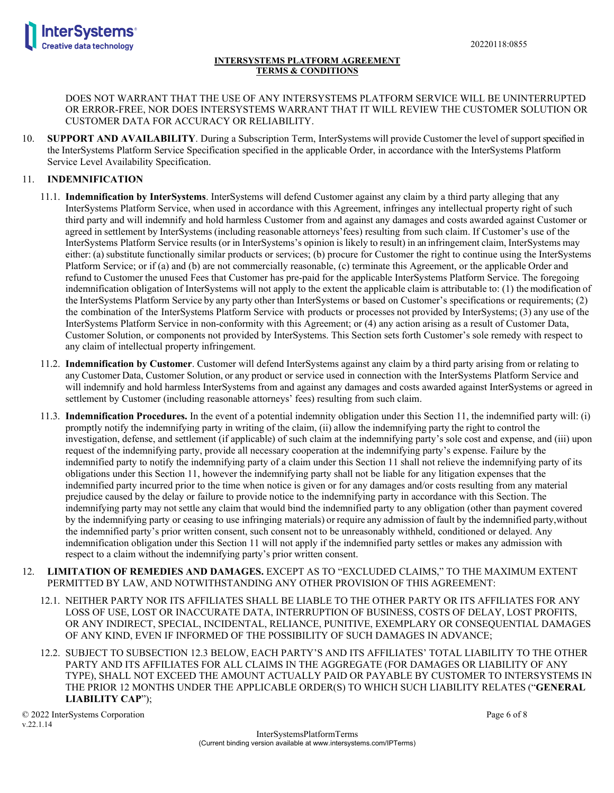

DOES NOT WARRANT THAT THE USE OF ANY INTERSYSTEMS PLATFORM SERVICE WILL BE UNINTERRUPTED OR ERROR-FREE, NOR DOES INTERSYSTEMS WARRANT THAT IT WILL REVIEW THE CUSTOMER SOLUTION OR CUSTOMER DATA FOR ACCURACY OR RELIABILITY.

10. **SUPPORT AND AVAILABILITY**. During a Subscription Term, InterSystems will provide Customer the level of support specified in the InterSystems Platform Service Specification specified in the applicable Order, in accordance with the InterSystems Platform Service Level Availability Specification.

# 11. **INDEMNIFICATION**

- 11.1. **Indemnification by InterSystems**. InterSystems will defend Customer against any claim by a third party alleging that any InterSystems Platform Service, when used in accordance with this Agreement, infringes any intellectual property right of such third party and will indemnify and hold harmless Customer from and against any damages and costs awarded against Customer or agreed in settlement by InterSystems (including reasonable attorneys'fees) resulting from such claim. If Customer's use of the InterSystems Platform Service results (or in InterSystems's opinion is likely to result) in an infringement claim, InterSystems may either: (a) substitute functionally similar products or services; (b) procure for Customer the right to continue using the InterSystems Platform Service; or if (a) and (b) are not commercially reasonable, (c) terminate this Agreement, or the applicable Order and refund to Customer the unused Fees that Customer has pre-paid for the applicable InterSystems Platform Service. The foregoing indemnification obligation of InterSystems will not apply to the extent the applicable claim is attributable to: (1) the modification of the InterSystems Platform Service by any party other than InterSystems or based on Customer's specifications or requirements; (2) the combination of the InterSystems Platform Service with products or processes not provided by InterSystems; (3) any use of the InterSystems Platform Service in non-conformity with this Agreement; or (4) any action arising as a result of Customer Data, Customer Solution, or components not provided by InterSystems. This Section sets forth Customer's sole remedy with respect to any claim of intellectual property infringement.
- 11.2. **Indemnification by Customer**. Customer will defend InterSystems against any claim by a third party arising from or relating to any Customer Data, Customer Solution, or any product or service used in connection with the InterSystems Platform Service and will indemnify and hold harmless InterSystems from and against any damages and costs awarded against InterSystems or agreed in settlement by Customer (including reasonable attorneys' fees) resulting from such claim.
- 11.3. **Indemnification Procedures.** In the event of a potential indemnity obligation under this Section 11, the indemnified party will: (i) promptly notify the indemnifying party in writing of the claim, (ii) allow the indemnifying party the right to control the investigation, defense, and settlement (if applicable) of such claim at the indemnifying party's sole cost and expense, and (iii) upon request of the indemnifying party, provide all necessary cooperation at the indemnifying party's expense. Failure by the indemnified party to notify the indemnifying party of a claim under this Section 11 shall not relieve the indemnifying party of its obligations under this Section 11, however the indemnifying party shall not be liable for any litigation expenses that the indemnified party incurred prior to the time when notice is given or for any damages and/or costs resulting from any material prejudice caused by the delay or failure to provide notice to the indemnifying party in accordance with this Section. The indemnifying party may not settle any claim that would bind the indemnified party to any obligation (other than payment covered by the indemnifying party or ceasing to use infringing materials) or require any admission of fault by the indemnified party,without the indemnified party's prior written consent, such consent not to be unreasonably withheld, conditioned or delayed. Any indemnification obligation under this Section 11 will not apply if the indemnified party settles or makes any admission with respect to a claim without the indemnifying party's prior written consent.
- 12. **LIMITATION OF REMEDIES AND DAMAGES.** EXCEPT AS TO "EXCLUDED CLAIMS," TO THE MAXIMUM EXTENT PERMITTED BY LAW, AND NOTWITHSTANDING ANY OTHER PROVISION OF THIS AGREEMENT:
	- 12.1. NEITHER PARTY NOR ITS AFFILIATES SHALL BE LIABLE TO THE OTHER PARTY OR ITS AFFILIATES FOR ANY LOSS OF USE, LOST OR INACCURATE DATA, INTERRUPTION OF BUSINESS, COSTS OF DELAY, LOST PROFITS, OR ANY INDIRECT, SPECIAL, INCIDENTAL, RELIANCE, PUNITIVE, EXEMPLARY OR CONSEQUENTIAL DAMAGES OF ANY KIND, EVEN IF INFORMED OF THE POSSIBILITY OF SUCH DAMAGES IN ADVANCE;
	- 12.2. SUBJECT TO SUBSECTION 12.3 BELOW, EACH PARTY'S AND ITS AFFILIATES' TOTAL LIABILITY TO THE OTHER PARTY AND ITS AFFILIATES FOR ALL CLAIMS IN THE AGGREGATE (FOR DAMAGES OR LIABILITY OF ANY TYPE), SHALL NOT EXCEED THE AMOUNT ACTUALLY PAID OR PAYABLE BY CUSTOMER TO INTERSYSTEMS IN THE PRIOR 12 MONTHS UNDER THE APPLICABLE ORDER(S) TO WHICH SUCH LIABILITY RELATES ("**GENERAL LIABILITY CAP**");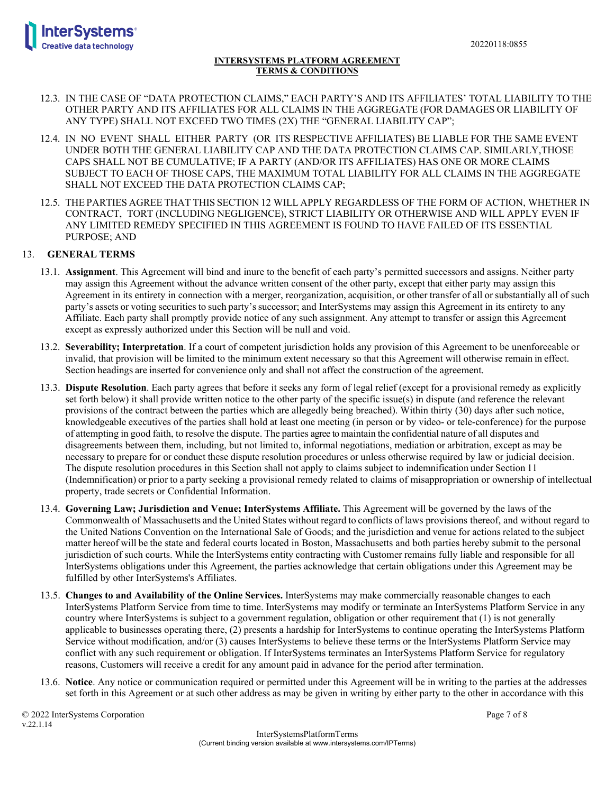

- 12.3. IN THE CASE OF "DATA PROTECTION CLAIMS," EACH PARTY'S AND ITS AFFILIATES' TOTAL LIABILITY TO THE OTHER PARTY AND ITS AFFILIATES FOR ALL CLAIMS IN THE AGGREGATE (FOR DAMAGES OR LIABILITY OF ANY TYPE) SHALL NOT EXCEED TWO TIMES (2X) THE "GENERAL LIABILITY CAP";
- 12.4. IN NO EVENT SHALL EITHER PARTY (OR ITS RESPECTIVE AFFILIATES) BE LIABLE FOR THE SAME EVENT UNDER BOTH THE GENERAL LIABILITY CAP AND THE DATA PROTECTION CLAIMS CAP. SIMILARLY,THOSE CAPS SHALL NOT BE CUMULATIVE; IF A PARTY (AND/OR ITS AFFILIATES) HAS ONE OR MORE CLAIMS SUBJECT TO EACH OF THOSE CAPS, THE MAXIMUM TOTAL LIABILITY FOR ALL CLAIMS IN THE AGGREGATE SHALL NOT EXCEED THE DATA PROTECTION CLAIMS CAP;
- 12.5. THE PARTIES AGREE THAT THIS SECTION 12 WILL APPLY REGARDLESS OF THE FORM OF ACTION, WHETHER IN CONTRACT, TORT (INCLUDING NEGLIGENCE), STRICT LIABILITY OR OTHERWISE AND WILL APPLY EVEN IF ANY LIMITED REMEDY SPECIFIED IN THIS AGREEMENT IS FOUND TO HAVE FAILED OF ITS ESSENTIAL PURPOSE; AND

# 13. **GENERAL TERMS**

- 13.1. **Assignment**. This Agreement will bind and inure to the benefit of each party's permitted successors and assigns. Neither party may assign this Agreement without the advance written consent of the other party, except that either party may assign this Agreement in its entirety in connection with a merger, reorganization, acquisition, or other transfer of all or substantially all of such party's assets or voting securities to such party's successor; and InterSystems may assign this Agreement in its entirety to any Affiliate. Each party shall promptly provide notice of any such assignment. Any attempt to transfer or assign this Agreement except as expressly authorized under this Section will be null and void.
- 13.2. **Severability; Interpretation**. If a court of competent jurisdiction holds any provision of this Agreement to be unenforceable or invalid, that provision will be limited to the minimum extent necessary so that this Agreement will otherwise remain in effect. Section headings are inserted for convenience only and shall not affect the construction of the agreement.
- 13.3. **Dispute Resolution**. Each party agrees that before it seeks any form of legal relief (except for a provisional remedy as explicitly set forth below) it shall provide written notice to the other party of the specific issue(s) in dispute (and reference the relevant provisions of the contract between the parties which are allegedly being breached). Within thirty (30) days after such notice, knowledgeable executives of the parties shall hold at least one meeting (in person or by video- or tele-conference) for the purpose of attempting in good faith, to resolve the dispute. The parties agree to maintain the confidential nature of all disputes and disagreements between them, including, but not limited to, informal negotiations, mediation or arbitration, except as may be necessary to prepare for or conduct these dispute resolution procedures or unless otherwise required by law or judicial decision. The dispute resolution procedures in this Section shall not apply to claims subject to indemnification under Section 11 (Indemnification) or prior to a party seeking a provisional remedy related to claims of misappropriation or ownership of intellectual property, trade secrets or Confidential Information.
- 13.4. **Governing Law; Jurisdiction and Venue; InterSystems Affiliate.** This Agreement will be governed by the laws of the Commonwealth of Massachusetts and the United States without regard to conflicts of laws provisions thereof, and without regard to the United Nations Convention on the International Sale of Goods; and the jurisdiction and venue for actionsrelated to the subject matter hereof will be the state and federal courts located in Boston, Massachusetts and both parties hereby submit to the personal jurisdiction of such courts. While the InterSystems entity contracting with Customer remains fully liable and responsible for all InterSystems obligations under this Agreement, the parties acknowledge that certain obligations under this Agreement may be fulfilled by other InterSystems's Affiliates.
- 13.5. **Changes to and Availability of the Online Services.** InterSystems may make commercially reasonable changes to each InterSystems Platform Service from time to time. InterSystems may modify or terminate an InterSystems Platform Service in any country where InterSystems is subject to a government regulation, obligation or other requirement that (1) is not generally applicable to businesses operating there, (2) presents a hardship for InterSystems to continue operating the InterSystems Platform Service without modification, and/or (3) causes InterSystems to believe these terms or the InterSystems Platform Service may conflict with any such requirement or obligation. If InterSystems terminates an InterSystems Platform Service for regulatory reasons, Customers will receive a credit for any amount paid in advance for the period after termination.
- 13.6. **Notice**. Any notice or communication required or permitted under this Agreement will be in writing to the parties at the addresses set forth in this Agreement or at such other address as may be given in writing by either party to the other in accordance with this

© 2022 InterSystems Corporation Page 7 of 8 v.22.1.14